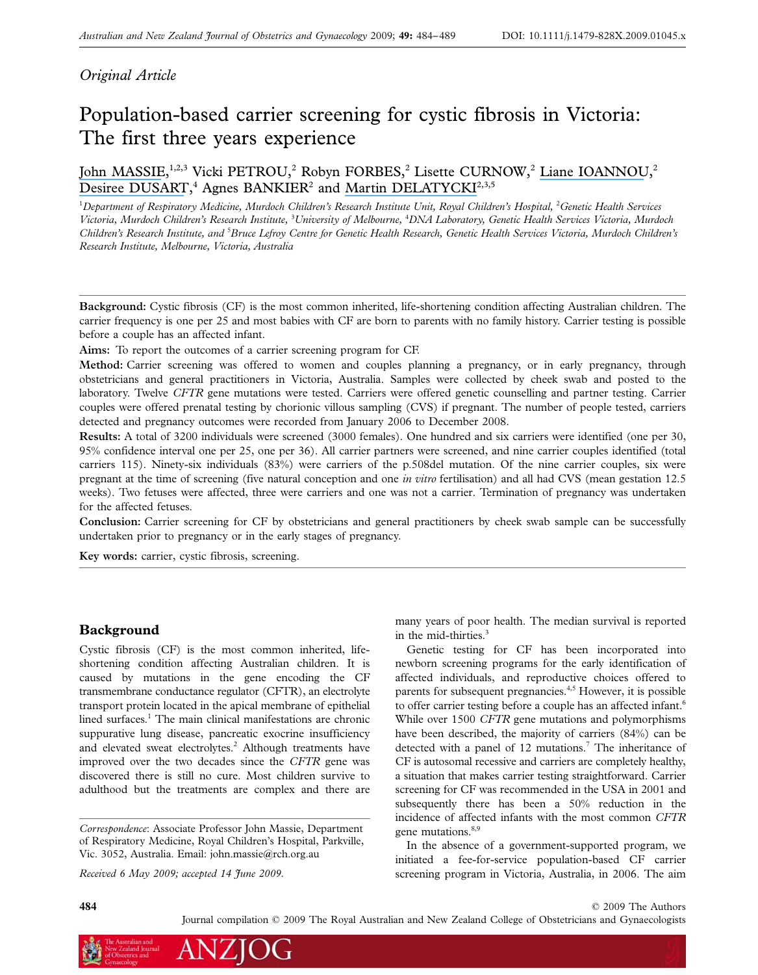# **Original Article**

# Population-based carrier screening for cystic fibrosis in Victoria: The first three years experience

[John MASSIE](https://www.researchgate.net/profile/John_Massie?el=1_x_100&enrichId=rgreq-5e34360d5f1aa8fe9ec325d9a44dc599-XXX&enrichSource=Y292ZXJQYWdlOzI2ODM3NjA1O0FTOjEwMjAxMjE2MzE5ODk4NUAxNDAxMzMzMDAzNjA2),  $^{1,2,3}$  Vicki PETROU, 2 Robyn FORBES, 2 Lisette CURNOW, 2 [Liane IOANNOU](https://www.researchgate.net/profile/Liane_Ioannou?el=1_x_100&enrichId=rgreq-5e34360d5f1aa8fe9ec325d9a44dc599-XXX&enrichSource=Y292ZXJQYWdlOzI2ODM3NjA1O0FTOjEwMjAxMjE2MzE5ODk4NUAxNDAxMzMzMDAzNjA2), 2 [Desiree DUSART](https://www.researchgate.net/profile/Desiree_Du_Sart?el=1_x_100&enrichId=rgreq-5e34360d5f1aa8fe9ec325d9a44dc599-XXX&enrichSource=Y292ZXJQYWdlOzI2ODM3NjA1O0FTOjEwMjAxMjE2MzE5ODk4NUAxNDAxMzMzMDAzNjA2),<sup>4</sup> Agnes BANKIER<sup>2</sup> and [Martin DELATYCKI](https://www.researchgate.net/profile/Martin_Delatycki?el=1_x_100&enrichId=rgreq-5e34360d5f1aa8fe9ec325d9a44dc599-XXX&enrichSource=Y292ZXJQYWdlOzI2ODM3NjA1O0FTOjEwMjAxMjE2MzE5ODk4NUAxNDAxMzMzMDAzNjA2)<sup>2,3,5</sup>

<sup>1</sup> Department of Respiratory Medicine, Murdoch Children's Research Institute Unit, Royal Children's Hospital, <sup>2</sup> Genetic Health Services Victoria, Murdoch Children's Research Institute, <sup>3</sup>University of Melbourne, <sup>4</sup>DNA Laboratory, Genetic Health Services Victoria, Murdoch Children's Research Institute, and <sup>5</sup>Bruce Lefroy Centre for Genetic Health Research, Genetic Health Services Victoria, Murdoch Children's *Research Institute, Melbourne, Victoria, Australia* 

**Background:** Cystic fibrosis (CF) is the most common inherited, life-shortening condition affecting Australian children. The carrier frequency is one per 25 and most babies with CF are born to parents with no family history. Carrier testing is possible before a couple has an affected infant.

**Aims:** To report the outcomes of a carrier screening program for CF.

**Method:** Carrier screening was offered to women and couples planning a pregnancy, or in early pregnancy, through obstetricians and general practitioners in Victoria, Australia. Samples were collected by cheek swab and posted to the laboratory. Twelve *CFTR* gene mutations were tested. Carriers were offered genetic counselling and partner testing. Carrier couples were offered prenatal testing by chorionic villous sampling (CVS) if pregnant. The number of people tested, carriers detected and pregnancy outcomes were recorded from January 2006 to December 2008.

**Results:** A total of 3200 individuals were screened (3000 females). One hundred and six carriers were identified (one per 30, 95% confidence interval one per 25, one per 36). All carrier partners were screened, and nine carrier couples identified (total carriers 115). Ninety-six individuals (83%) were carriers of the p.508del mutation. Of the nine carrier couples, six were pregnant at the time of screening (five natural conception and one *in vitro* fertilisation) and all had CVS (mean gestation 12.5 weeks). Two fetuses were affected, three were carriers and one was not a carrier. Termination of pregnancy was undertaken for the affected fetuses.

**Conclusion:** Carrier screening for CF by obstetricians and general practitioners by cheek swab sample can be successfully undertaken prior to pregnancy or in the early stages of pregnancy.

**Key words:** carrier, cystic fibrosis, screening.

## **Background**

Cystic fibrosis (CF) is the most common inherited, lifeshortening condition affecting Australian children. It is caused by mutations in the gene encoding the CF transmembrane conductance regulator (CFTR), an electrolyte transport protein located in the apical membrane of epithelial lined surfaces.<sup>1</sup> The main clinical manifestations are chronic suppurative lung disease, pancreatic exocrine insufficiency and elevated sweat electrolytes.<sup>2</sup> Although treatments have improved over the two decades since the *CFTR* gene was discovered there is still no cure. Most children survive to adulthood but the treatments are complex and there are

*Received 6 May 2009; accepted 14 June 2009.*

many years of poor health. The median survival is reported in the mid-thirties.<sup>3</sup>

Genetic testing for CF has been incorporated into newborn screening programs for the early identification of affected individuals, and reproductive choices offered to parents for subsequent pregnancies.4,5 However, it is possible to offer carrier testing before a couple has an affected infant.<sup>6</sup> While over 1500 *CFTR* gene mutations and polymorphisms have been described, the majority of carriers (84%) can be detected with a panel of 12 mutations.<sup>7</sup> The inheritance of CF is autosomal recessive and carriers are completely healthy, a situation that makes carrier testing straightforward. Carrier screening for CF was recommended in the USA in 2001 and subsequently there has been a 50% reduction in the incidence of affected infants with the most common *CFTR* gene mutations.<sup>8,9</sup>

In the absence of a government-supported program, we initiated a fee-for-service population-based CF carrier screening program in Victoria, Australia, in 2006. The aim



*Correspondence*: Associate Professor John Massie, Department of Respiratory Medicine, Royal Children's Hospital, Parkville, Vic. 3052, Australia. Email: john[.massie@rch.org.au](mailto:massie@rch.org.au)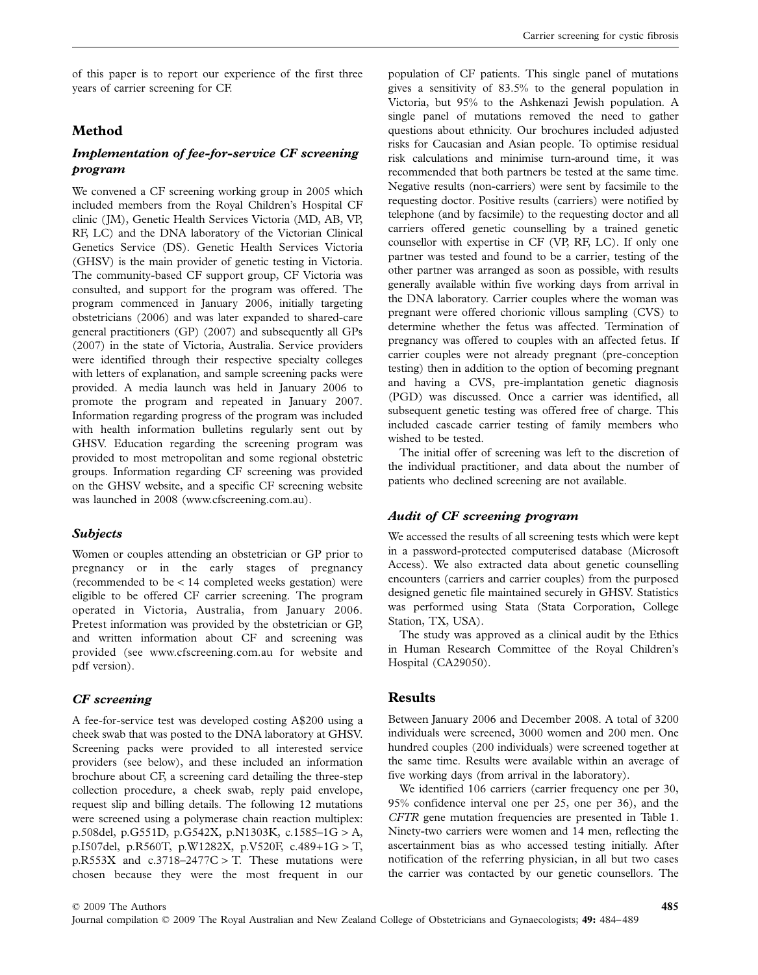of this paper is to report our experience of the first three years of carrier screening for CF.

# **Method**

# *Implementation of fee-for-service CF screening program*

We convened a CF screening working group in 2005 which included members from the Royal Children's Hospital CF clinic (JM), Genetic Health Services Victoria (MD, AB, VP, RF, LC) and the DNA laboratory of the Victorian Clinical Genetics Service (DS). Genetic Health Services Victoria (GHSV) is the main provider of genetic testing in Victoria. The community-based CF support group, CF Victoria was consulted, and support for the program was offered. The program commenced in January 2006, initially targeting obstetricians (2006) and was later expanded to shared-care general practitioners (GP) (2007) and subsequently all GPs (2007) in the state of Victoria, Australia. Service providers were identified through their respective specialty colleges with letters of explanation, and sample screening packs were provided. A media launch was held in January 2006 to promote the program and repeated in January 2007. Information regarding progress of the program was included with health information bulletins regularly sent out by GHSV. Education regarding the screening program was provided to most metropolitan and some regional obstetric groups. Information regarding CF screening was provided on the GHSV website, and a specific CF screening website was launched in 2008 [\(www.cfscreening.com.au\).](http://www.cfscreening.com.au)

## *Subjects*

Women or couples attending an obstetrician or GP prior to pregnancy or in the early stages of pregnancy (recommended to be < 14 completed weeks gestation) were eligible to be offered CF carrier screening. The program operated in Victoria, Australia, from January 2006. Pretest information was provided by the obstetrician or GP, and written information about CF and screening was provided (see [www.cfscreening.com.au fo](http://www.cfscreening.com.au)r website and pdf version).

#### *CF screening*

A fee-for-service test was developed costing A\$200 using a cheek swab that was posted to the DNA laboratory at GHSV. Screening packs were provided to all interested service providers (see below), and these included an information brochure about CF, a screening card detailing the three-step collection procedure, a cheek swab, reply paid envelope, request slip and billing details. The following 12 mutations were screened using a polymerase chain reaction multiplex: p.508del, p.G551D, p.G542X, p.N1303K, c.1585–1G > A, p.I507del, p.R560T, p.W1282X, p.V520F, c.489+1G > T, p.R553X and c.3718–2477 $C > T$ . These mutations were chosen because they were the most frequent in our

population of CF patients. This single panel of mutations gives a sensitivity of 83.5% to the general population in Victoria, but 95% to the Ashkenazi Jewish population. A single panel of mutations removed the need to gather questions about ethnicity. Our brochures included adjusted risks for Caucasian and Asian people. To optimise residual risk calculations and minimise turn-around time, it was recommended that both partners be tested at the same time. Negative results (non-carriers) were sent by facsimile to the requesting doctor. Positive results (carriers) were notified by telephone (and by facsimile) to the requesting doctor and all carriers offered genetic counselling by a trained genetic counsellor with expertise in CF (VP, RF, LC). If only one partner was tested and found to be a carrier, testing of the other partner was arranged as soon as possible, with results generally available within five working days from arrival in the DNA laboratory. Carrier couples where the woman was pregnant were offered chorionic villous sampling (CVS) to determine whether the fetus was affected. Termination of pregnancy was offered to couples with an affected fetus. If carrier couples were not already pregnant (pre-conception testing) then in addition to the option of becoming pregnant and having a CVS, pre-implantation genetic diagnosis (PGD) was discussed. Once a carrier was identified, all subsequent genetic testing was offered free of charge. This included cascade carrier testing of family members who wished to be tested.

The initial offer of screening was left to the discretion of the individual practitioner, and data about the number of patients who declined screening are not available.

## *Audit of CF screening program*

We accessed the results of all screening tests which were kept in a password-protected computerised database (Microsoft Access). We also extracted data about genetic counselling encounters (carriers and carrier couples) from the purposed designed genetic file maintained securely in GHSV. Statistics was performed using Stata (Stata Corporation, College Station, TX, USA).

The study was approved as a clinical audit by the Ethics in Human Research Committee of the Royal Children's Hospital (CA29050).

#### **Results**

Between January 2006 and December 2008. A total of 3200 individuals were screened, 3000 women and 200 men. One hundred couples (200 individuals) were screened together at the same time. Results were available within an average of five working days (from arrival in the laboratory).

We identified 106 carriers (carrier frequency one per 30, 95% confidence interval one per 25, one per 36), and the *CFTR* gene mutation frequencies are presented in Table 1. Ninety-two carriers were women and 14 men, reflecting the ascertainment bias as who accessed testing initially. After notification of the referring physician, in all but two cases the carrier was contacted by our genetic counsellors. The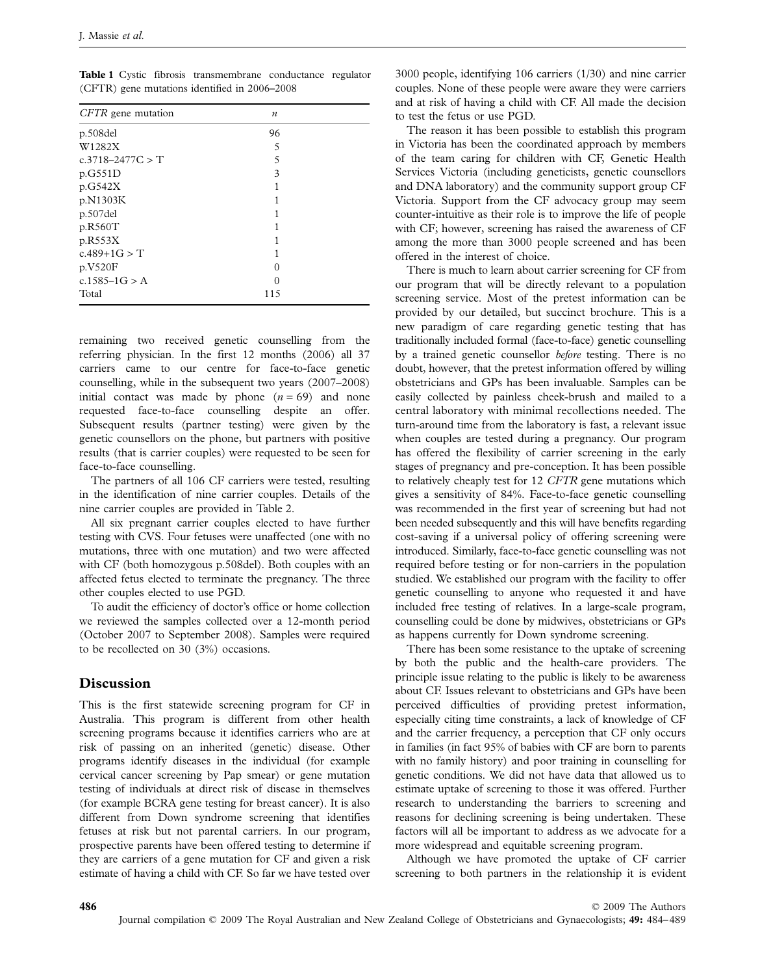**Table 1** Cystic fibrosis transmembrane conductance regulator (CFTR) gene mutations identified in 2006–2008

| CFTR gene mutation   | $\boldsymbol{n}$ |  |
|----------------------|------------------|--|
| p.508del             | 96               |  |
| W1282X               | 5                |  |
| $c.3718 - 2477C > T$ | 5                |  |
| p.G551D              | 3                |  |
| p.G542X              | 1                |  |
| p.N1303K             |                  |  |
| p.507del             | 1                |  |
| p.R560T              |                  |  |
| p.R553X              |                  |  |
| $c.489+1G > T$       |                  |  |
| p.V520F              | 0                |  |
| c.1585–1 $G > A$     | Ω                |  |
| Total                | 115              |  |

remaining two received genetic counselling from the referring physician. In the first 12 months (2006) all 37 carriers came to our centre for face-to-face genetic counselling, while in the subsequent two years (2007–2008) initial contact was made by phone  $(n = 69)$  and none requested face-to-face counselling despite an offer. Subsequent results (partner testing) were given by the genetic counsellors on the phone, but partners with positive results (that is carrier couples) were requested to be seen for face-to-face counselling.

The partners of all 106 CF carriers were tested, resulting in the identification of nine carrier couples. Details of the nine carrier couples are provided in Table 2.

All six pregnant carrier couples elected to have further testing with CVS. Four fetuses were unaffected (one with no mutations, three with one mutation) and two were affected with CF (both homozygous p.508del). Both couples with an affected fetus elected to terminate the pregnancy. The three other couples elected to use PGD.

To audit the efficiency of doctor's office or home collection we reviewed the samples collected over a 12-month period (October 2007 to September 2008). Samples were required to be recollected on 30 (3%) occasions.

# **Discussion**

This is the first statewide screening program for CF in Australia. This program is different from other health screening programs because it identifies carriers who are at risk of passing on an inherited (genetic) disease. Other programs identify diseases in the individual (for example cervical cancer screening by Pap smear) or gene mutation testing of individuals at direct risk of disease in themselves (for example BCRA gene testing for breast cancer). It is also different from Down syndrome screening that identifies fetuses at risk but not parental carriers. In our program, prospective parents have been offered testing to determine if they are carriers of a gene mutation for CF and given a risk estimate of having a child with CF. So far we have tested over

3000 people, identifying 106 carriers (1/30) and nine carrier couples. None of these people were aware they were carriers and at risk of having a child with CF. All made the decision to test the fetus or use PGD.

The reason it has been possible to establish this program in Victoria has been the coordinated approach by members of the team caring for children with CF, Genetic Health Services Victoria (including geneticists, genetic counsellors and DNA laboratory) and the community support group CF Victoria. Support from the CF advocacy group may seem counter-intuitive as their role is to improve the life of people with CF; however, screening has raised the awareness of CF among the more than 3000 people screened and has been offered in the interest of choice.

There is much to learn about carrier screening for CF from our program that will be directly relevant to a population screening service. Most of the pretest information can be provided by our detailed, but succinct brochure. This is a new paradigm of care regarding genetic testing that has traditionally included formal (face-to-face) genetic counselling by a trained genetic counsellor *before* testing. There is no doubt, however, that the pretest information offered by willing obstetricians and GPs has been invaluable. Samples can be easily collected by painless cheek-brush and mailed to a central laboratory with minimal recollections needed. The turn-around time from the laboratory is fast, a relevant issue when couples are tested during a pregnancy. Our program has offered the flexibility of carrier screening in the early stages of pregnancy and pre-conception. It has been possible to relatively cheaply test for 12 *CFTR* gene mutations which gives a sensitivity of 84%. Face-to-face genetic counselling was recommended in the first year of screening but had not been needed subsequently and this will have benefits regarding cost-saving if a universal policy of offering screening were introduced. Similarly, face-to-face genetic counselling was not required before testing or for non-carriers in the population studied. We established our program with the facility to offer genetic counselling to anyone who requested it and have included free testing of relatives. In a large-scale program, counselling could be done by midwives, obstetricians or GPs as happens currently for Down syndrome screening.

There has been some resistance to the uptake of screening by both the public and the health-care providers. The principle issue relating to the public is likely to be awareness about CF. Issues relevant to obstetricians and GPs have been perceived difficulties of providing pretest information, especially citing time constraints, a lack of knowledge of CF and the carrier frequency, a perception that CF only occurs in families (in fact 95% of babies with CF are born to parents with no family history) and poor training in counselling for genetic conditions. We did not have data that allowed us to estimate uptake of screening to those it was offered. Further research to understanding the barriers to screening and reasons for declining screening is being undertaken. These factors will all be important to address as we advocate for a more widespread and equitable screening program.

Although we have promoted the uptake of CF carrier screening to both partners in the relationship it is evident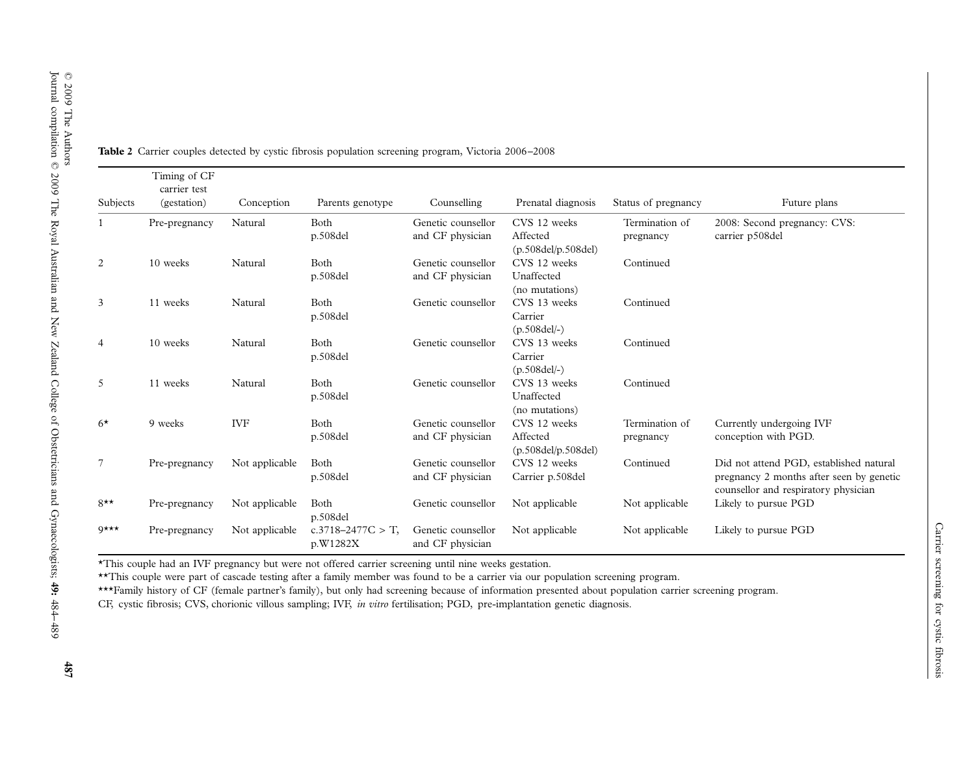| Subjects       | Timing of CF<br>carrier test<br>(gestation) | Conception     | Parents genotype  | Counselling        | Prenatal diagnosis                 | Status of pregnancy | Future plans                             |
|----------------|---------------------------------------------|----------------|-------------------|--------------------|------------------------------------|---------------------|------------------------------------------|
| 1              | Pre-pregnancy                               | Natural        | Both              | Genetic counsellor | CVS 12 weeks                       | Termination of      | 2008: Second pregnancy: CVS:             |
|                |                                             |                | p.508del          | and CF physician   | Affected<br>$(p.508$ del/p.508del) | pregnancy           | carrier p508del                          |
| $\overline{c}$ | 10 weeks                                    | Natural        | Both              | Genetic counsellor | CVS 12 weeks                       | Continued           |                                          |
|                |                                             |                | p.508del          | and CF physician   | Unaffected                         |                     |                                          |
|                |                                             |                |                   |                    | (no mutations)                     |                     |                                          |
| 3              | 11 weeks                                    | Natural        | Both              | Genetic counsellor | CVS 13 weeks                       | Continued           |                                          |
|                |                                             |                | p.508del          |                    | Carrier                            |                     |                                          |
|                |                                             |                |                   |                    | $(p.508del/-)$                     |                     |                                          |
| 10 weeks<br>4  |                                             | Natural        | Both              | Genetic counsellor | CVS 13 weeks                       | Continued           |                                          |
|                |                                             |                | p.508del          |                    | Carrier                            |                     |                                          |
|                |                                             |                |                   |                    | $(p.508del/-)$                     |                     |                                          |
| 5<br>11 weeks  |                                             | Natural        | Both              | Genetic counsellor | CVS 13 weeks                       | Continued           |                                          |
|                |                                             |                | p.508del          |                    | Unaffected                         |                     |                                          |
|                |                                             |                |                   |                    | (no mutations)                     |                     |                                          |
| $6*$           | 9 weeks                                     | <b>IVF</b>     | Both              | Genetic counsellor | CVS 12 weeks                       | Termination of      | Currently undergoing IVF                 |
|                |                                             |                | p.508del          | and CF physician   | Affected                           | pregnancy           | conception with PGD.                     |
|                |                                             |                |                   |                    | $(p.508$ del/p.508del)             |                     |                                          |
| 7              | Pre-pregnancy                               | Not applicable | Both              | Genetic counsellor | CVS 12 weeks                       | Continued           | Did not attend PGD, established natural  |
|                |                                             |                | p.508del          | and CF physician   | Carrier p.508del                   |                     | pregnancy 2 months after seen by genetic |
|                |                                             |                |                   |                    |                                    |                     | counsellor and respiratory physician     |
| $8**$          | Pre-pregnancy                               | Not applicable | Both              | Genetic counsellor | Not applicable                     | Not applicable      | Likely to pursue PGD                     |
|                |                                             |                | p.508del          |                    |                                    |                     |                                          |
| $9***$         | Pre-pregnancy                               | Not applicable | c.3718-2477C > T, | Genetic counsellor | Not applicable                     | Not applicable      | Likely to pursue PGD                     |
|                |                                             |                | p.W1282X          | and CF physician   |                                    |                     |                                          |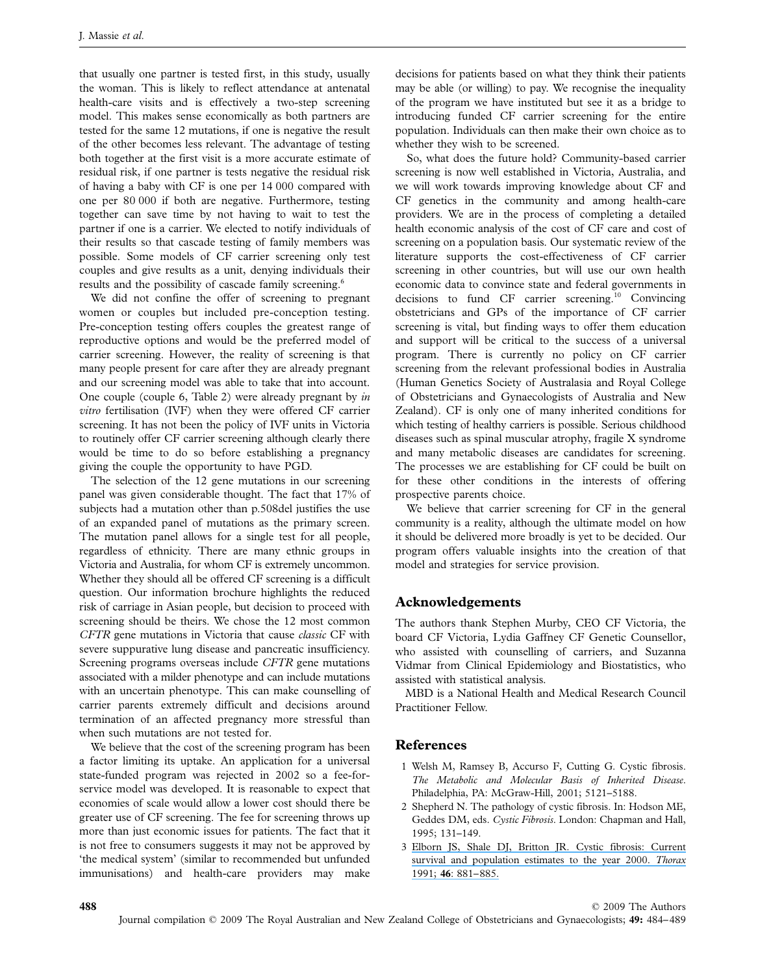that usually one partner is tested first, in this study, usually the woman. This is likely to reflect attendance at antenatal health-care visits and is effectively a two-step screening model. This makes sense economically as both partners are tested for the same 12 mutations, if one is negative the result of the other becomes less relevant. The advantage of testing both together at the first visit is a more accurate estimate of residual risk, if one partner is tests negative the residual risk of having a baby with CF is one per 14 000 compared with one per 80 000 if both are negative. Furthermore, testing together can save time by not having to wait to test the partner if one is a carrier. We elected to notify individuals of their results so that cascade testing of family members was possible. Some models of CF carrier screening only test couples and give results as a unit, denying individuals their results and the possibility of cascade family screening.<sup>6</sup>

We did not confine the offer of screening to pregnant women or couples but included pre-conception testing. Pre-conception testing offers couples the greatest range of reproductive options and would be the preferred model of carrier screening. However, the reality of screening is that many people present for care after they are already pregnant and our screening model was able to take that into account. One couple (couple 6, Table 2) were already pregnant by *in vitro* fertilisation (IVF) when they were offered CF carrier screening. It has not been the policy of IVF units in Victoria to routinely offer CF carrier screening although clearly there would be time to do so before establishing a pregnancy giving the couple the opportunity to have PGD.

The selection of the 12 gene mutations in our screening panel was given considerable thought. The fact that 17% of subjects had a mutation other than p.508del justifies the use of an expanded panel of mutations as the primary screen. The mutation panel allows for a single test for all people, regardless of ethnicity. There are many ethnic groups in Victoria and Australia, for whom CF is extremely uncommon. Whether they should all be offered CF screening is a difficult question. Our information brochure highlights the reduced risk of carriage in Asian people, but decision to proceed with screening should be theirs. We chose the 12 most common *CFTR* gene mutations in Victoria that cause *classic* CF with severe suppurative lung disease and pancreatic insufficiency. Screening programs overseas include *CFTR* gene mutations associated with a milder phenotype and can include mutations with an uncertain phenotype. This can make counselling of carrier parents extremely difficult and decisions around termination of an affected pregnancy more stressful than when such mutations are not tested for.

We believe that the cost of the screening program has been a factor limiting its uptake. An application for a universal state-funded program was rejected in 2002 so a fee-forservice model was developed. It is reasonable to expect that economies of scale would allow a lower cost should there be greater use of CF screening. The fee for screening throws up more than just economic issues for patients. The fact that it is not free to consumers suggests it may not be approved by 'the medical system' (similar to recommended but unfunded immunisations) and health-care providers may make decisions for patients based on what they think their patients may be able (or willing) to pay. We recognise the inequality of the program we have instituted but see it as a bridge to introducing funded CF carrier screening for the entire population. Individuals can then make their own choice as to whether they wish to be screened.

So, what does the future hold? Community-based carrier screening is now well established in Victoria, Australia, and we will work towards improving knowledge about CF and CF genetics in the community and among health-care providers. We are in the process of completing a detailed health economic analysis of the cost of CF care and cost of screening on a population basis. Our systematic review of the literature supports the cost-effectiveness of CF carrier screening in other countries, but will use our own health economic data to convince state and federal governments in decisions to fund CF carrier screening.<sup>10</sup> Convincing obstetricians and GPs of the importance of CF carrier screening is vital, but finding ways to offer them education and support will be critical to the success of a universal program. There is currently no policy on CF carrier screening from the relevant professional bodies in Australia (Human Genetics Society of Australasia and Royal College of Obstetricians and Gynaecologists of Australia and New Zealand). CF is only one of many inherited conditions for which testing of healthy carriers is possible. Serious childhood diseases such as spinal muscular atrophy, fragile X syndrome and many metabolic diseases are candidates for screening. The processes we are establishing for CF could be built on for these other conditions in the interests of offering prospective parents choice.

We believe that carrier screening for CF in the general community is a reality, although the ultimate model on how it should be delivered more broadly is yet to be decided. Our program offers valuable insights into the creation of that model and strategies for service provision.

## **Acknowledgements**

The authors thank Stephen Murby, CEO CF Victoria, the board CF Victoria, Lydia Gaffney CF Genetic Counsellor, who assisted with counselling of carriers, and Suzanna Vidmar from Clinical Epidemiology and Biostatistics, who assisted with statistical analysis.

MBD is a National Health and Medical Research Council Practitioner Fellow.

## **References**

- 1 Welsh M, Ramsey B, Accurso F, Cutting G. Cystic fibrosis. *The Metabolic and Molecular Basis of Inherited Disease*. Philadelphia, PA: McGraw-Hill, 2001; 5121–5188.
- 2 Shepherd N. The pathology of cystic fibrosis. In: Hodson ME, Geddes DM, eds. *Cystic Fibrosis*. London: Chapman and Hall, 1995; 131–149.
- 3 [Elborn JS, Shale DJ, Britton JR. Cystic fibrosis: Current](https://www.researchgate.net/publication/21362596_Cystic_fibrosis_Current_survival_and_population_estimates_to_the_year_2000?el=1_x_8&enrichId=rgreq-5e34360d5f1aa8fe9ec325d9a44dc599-XXX&enrichSource=Y292ZXJQYWdlOzI2ODM3NjA1O0FTOjEwMjAxMjE2MzE5ODk4NUAxNDAxMzMzMDAzNjA2) [survival and population estimates to the year 2000.](https://www.researchgate.net/publication/21362596_Cystic_fibrosis_Current_survival_and_population_estimates_to_the_year_2000?el=1_x_8&enrichId=rgreq-5e34360d5f1aa8fe9ec325d9a44dc599-XXX&enrichSource=Y292ZXJQYWdlOzI2ODM3NjA1O0FTOjEwMjAxMjE2MzE5ODk4NUAxNDAxMzMzMDAzNjA2) *Thorax* 1991; **46**[: 881–885.](https://www.researchgate.net/publication/21362596_Cystic_fibrosis_Current_survival_and_population_estimates_to_the_year_2000?el=1_x_8&enrichId=rgreq-5e34360d5f1aa8fe9ec325d9a44dc599-XXX&enrichSource=Y292ZXJQYWdlOzI2ODM3NjA1O0FTOjEwMjAxMjE2MzE5ODk4NUAxNDAxMzMzMDAzNjA2)